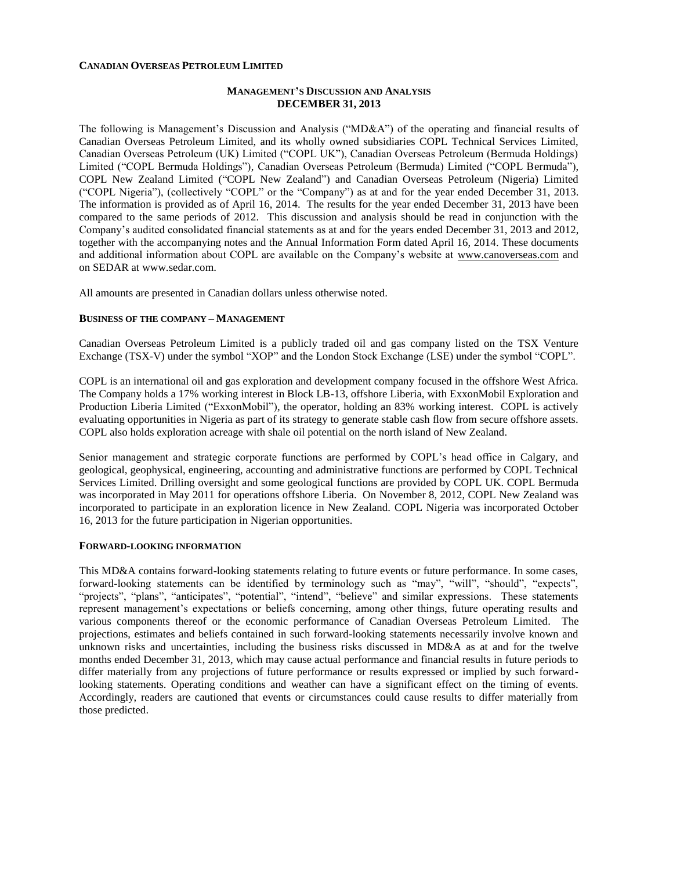### **CANADIAN OVERSEAS PETROLEUM LIMITED**

### **MANAGEMENT'S DISCUSSION AND ANALYSIS DECEMBER 31, 2013**

The following is Management's Discussion and Analysis ("MD&A") of the operating and financial results of Canadian Overseas Petroleum Limited, and its wholly owned subsidiaries COPL Technical Services Limited, Canadian Overseas Petroleum (UK) Limited ("COPL UK"), Canadian Overseas Petroleum (Bermuda Holdings) Limited ("COPL Bermuda Holdings"), Canadian Overseas Petroleum (Bermuda) Limited ("COPL Bermuda"), COPL New Zealand Limited ("COPL New Zealand") and Canadian Overseas Petroleum (Nigeria) Limited ("COPL Nigeria"), (collectively "COPL" or the "Company") as at and for the year ended December 31, 2013. The information is provided as of April 16, 2014. The results for the year ended December 31, 2013 have been compared to the same periods of 2012. This discussion and analysis should be read in conjunction with the Company's audited consolidated financial statements as at and for the years ended December 31, 2013 and 2012, together with the accompanying notes and the Annual Information Form dated April 16, 2014. These documents and additional information about COPL are available on the Company's website at [www.canoverseas.com](http://www.canoverseas.com/) and on SEDAR at [www.sedar.com.](http://www.sedar.com/)

All amounts are presented in Canadian dollars unless otherwise noted.

### **BUSINESS OF THE COMPANY – MANAGEMENT**

Canadian Overseas Petroleum Limited is a publicly traded oil and gas company listed on the TSX Venture Exchange (TSX-V) under the symbol "XOP" and the London Stock Exchange (LSE) under the symbol "COPL".

COPL is an international oil and gas exploration and development company focused in the offshore West Africa. The Company holds a 17% working interest in Block LB-13, offshore Liberia, with ExxonMobil Exploration and Production Liberia Limited ("ExxonMobil"), the operator, holding an 83% working interest. COPL is actively evaluating opportunities in Nigeria as part of its strategy to generate stable cash flow from secure offshore assets. COPL also holds exploration acreage with shale oil potential on the north island of New Zealand.

Senior management and strategic corporate functions are performed by COPL's head office in Calgary, and geological, geophysical, engineering, accounting and administrative functions are performed by COPL Technical Services Limited. Drilling oversight and some geological functions are provided by COPL UK. COPL Bermuda was incorporated in May 2011 for operations offshore Liberia. On November 8, 2012, COPL New Zealand was incorporated to participate in an exploration licence in New Zealand. COPL Nigeria was incorporated October 16, 2013 for the future participation in Nigerian opportunities.

#### **FORWARD-LOOKING INFORMATION**

This MD&A contains forward-looking statements relating to future events or future performance. In some cases, forward-looking statements can be identified by terminology such as "may", "will", "should", "expects", "projects", "plans", "anticipates", "potential", "intend", "believe" and similar expressions. These statements represent management's expectations or beliefs concerning, among other things, future operating results and various components thereof or the economic performance of Canadian Overseas Petroleum Limited. The projections, estimates and beliefs contained in such forward-looking statements necessarily involve known and unknown risks and uncertainties, including the business risks discussed in MD&A as at and for the twelve months ended December 31, 2013, which may cause actual performance and financial results in future periods to differ materially from any projections of future performance or results expressed or implied by such forwardlooking statements. Operating conditions and weather can have a significant effect on the timing of events. Accordingly, readers are cautioned that events or circumstances could cause results to differ materially from those predicted.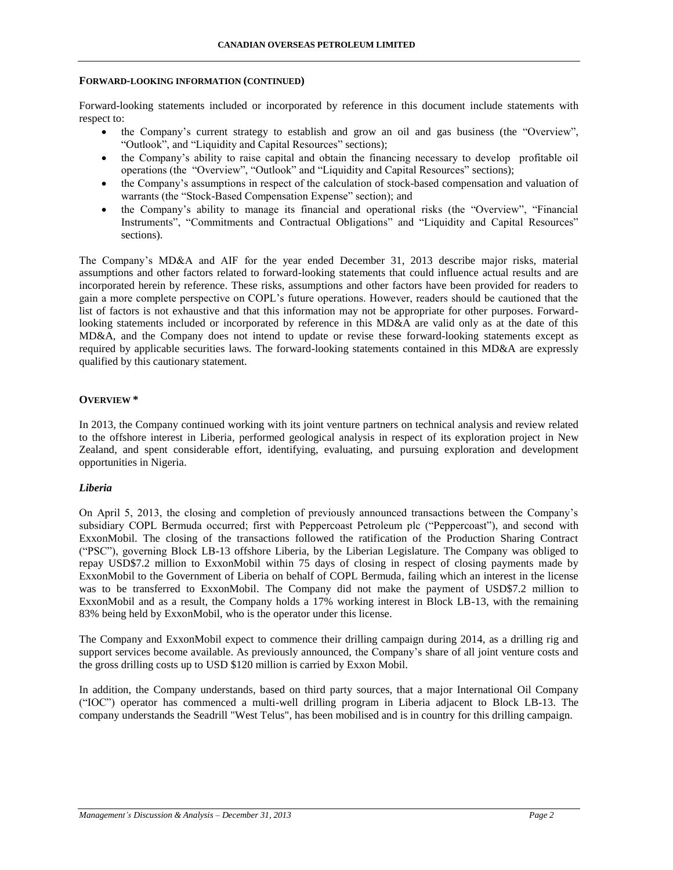#### **FORWARD-LOOKING INFORMATION (CONTINUED)**

Forward-looking statements included or incorporated by reference in this document include statements with respect to:

- the Company's current strategy to establish and grow an oil and gas business (the "Overview", "Outlook", and "Liquidity and Capital Resources" sections);
- the Company's ability to raise capital and obtain the financing necessary to develop profitable oil operations (the "Overview", "Outlook" and "Liquidity and Capital Resources" sections);
- the Company's assumptions in respect of the calculation of stock-based compensation and valuation of warrants (the "Stock-Based Compensation Expense" section); and
- the Company's ability to manage its financial and operational risks (the "Overview", "Financial Instruments", "Commitments and Contractual Obligations" and "Liquidity and Capital Resources" sections).

The Company's MD&A and AIF for the year ended December 31, 2013 describe major risks, material assumptions and other factors related to forward-looking statements that could influence actual results and are incorporated herein by reference. These risks, assumptions and other factors have been provided for readers to gain a more complete perspective on COPL's future operations. However, readers should be cautioned that the list of factors is not exhaustive and that this information may not be appropriate for other purposes. Forwardlooking statements included or incorporated by reference in this MD&A are valid only as at the date of this MD&A, and the Company does not intend to update or revise these forward-looking statements except as required by applicable securities laws. The forward-looking statements contained in this MD&A are expressly qualified by this cautionary statement.

# **OVERVIEW \***

In 2013, the Company continued working with its joint venture partners on technical analysis and review related to the offshore interest in Liberia, performed geological analysis in respect of its exploration project in New Zealand, and spent considerable effort, identifying, evaluating, and pursuing exploration and development opportunities in Nigeria.

# *Liberia*

On April 5, 2013, the closing and completion of previously announced transactions between the Company's subsidiary COPL Bermuda occurred; first with Peppercoast Petroleum plc ("Peppercoast"), and second with ExxonMobil. The closing of the transactions followed the ratification of the Production Sharing Contract ("PSC"), governing Block LB-13 offshore Liberia, by the Liberian Legislature. The Company was obliged to repay USD\$7.2 million to ExxonMobil within 75 days of closing in respect of closing payments made by ExxonMobil to the Government of Liberia on behalf of COPL Bermuda, failing which an interest in the license was to be transferred to ExxonMobil. The Company did not make the payment of USD\$7.2 million to ExxonMobil and as a result, the Company holds a 17% working interest in Block LB-13, with the remaining 83% being held by ExxonMobil, who is the operator under this license.

The Company and ExxonMobil expect to commence their drilling campaign during 2014, as a drilling rig and support services become available. As previously announced, the Company's share of all joint venture costs and the gross drilling costs up to USD \$120 million is carried by Exxon Mobil.

In addition, the Company understands, based on third party sources, that a major International Oil Company ("IOC") operator has commenced a multi-well drilling program in Liberia adjacent to Block LB-13. The company understands the Seadrill "West Telus", has been mobilised and is in country for this drilling campaign.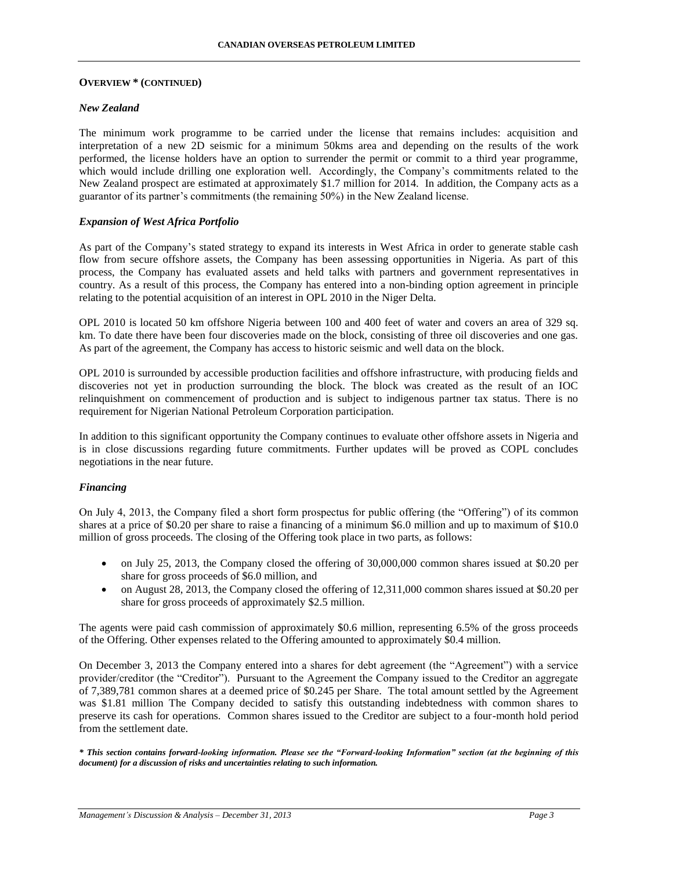#### **OVERVIEW \* (CONTINUED)**

### *New Zealand*

The minimum work programme to be carried under the license that remains includes: acquisition and interpretation of a new 2D seismic for a minimum 50kms area and depending on the results of the work performed, the license holders have an option to surrender the permit or commit to a third year programme, which would include drilling one exploration well. Accordingly, the Company's commitments related to the New Zealand prospect are estimated at approximately \$1.7 million for 2014. In addition, the Company acts as a guarantor of its partner's commitments (the remaining 50%) in the New Zealand license.

### *Expansion of West Africa Portfolio*

As part of the Company's stated strategy to expand its interests in West Africa in order to generate stable cash flow from secure offshore assets, the Company has been assessing opportunities in Nigeria. As part of this process, the Company has evaluated assets and held talks with partners and government representatives in country. As a result of this process, the Company has entered into a non-binding option agreement in principle relating to the potential acquisition of an interest in OPL 2010 in the Niger Delta.

OPL 2010 is located 50 km offshore Nigeria between 100 and 400 feet of water and covers an area of 329 sq. km. To date there have been four discoveries made on the block, consisting of three oil discoveries and one gas. As part of the agreement, the Company has access to historic seismic and well data on the block.

OPL 2010 is surrounded by accessible production facilities and offshore infrastructure, with producing fields and discoveries not yet in production surrounding the block. The block was created as the result of an IOC relinquishment on commencement of production and is subject to indigenous partner tax status. There is no requirement for Nigerian National Petroleum Corporation participation.

In addition to this significant opportunity the Company continues to evaluate other offshore assets in Nigeria and is in close discussions regarding future commitments. Further updates will be proved as COPL concludes negotiations in the near future.

### *Financing*

On July 4, 2013, the Company filed a short form prospectus for public offering (the "Offering") of its common shares at a price of \$0.20 per share to raise a financing of a minimum \$6.0 million and up to maximum of \$10.0 million of gross proceeds. The closing of the Offering took place in two parts, as follows:

- on July 25, 2013, the Company closed the offering of 30,000,000 common shares issued at \$0.20 per share for gross proceeds of \$6.0 million, and
- on August 28, 2013, the Company closed the offering of 12,311,000 common shares issued at \$0.20 per share for gross proceeds of approximately \$2.5 million.

The agents were paid cash commission of approximately \$0.6 million, representing 6.5% of the gross proceeds of the Offering. Other expenses related to the Offering amounted to approximately \$0.4 million.

On December 3, 2013 the Company entered into a shares for debt agreement (the "Agreement") with a service provider/creditor (the "Creditor"). Pursuant to the Agreement the Company issued to the Creditor an aggregate of 7,389,781 common shares at a deemed price of \$0.245 per Share. The total amount settled by the Agreement was \$1.81 million The Company decided to satisfy this outstanding indebtedness with common shares to preserve its cash for operations. Common shares issued to the Creditor are subject to a four-month hold period from the settlement date.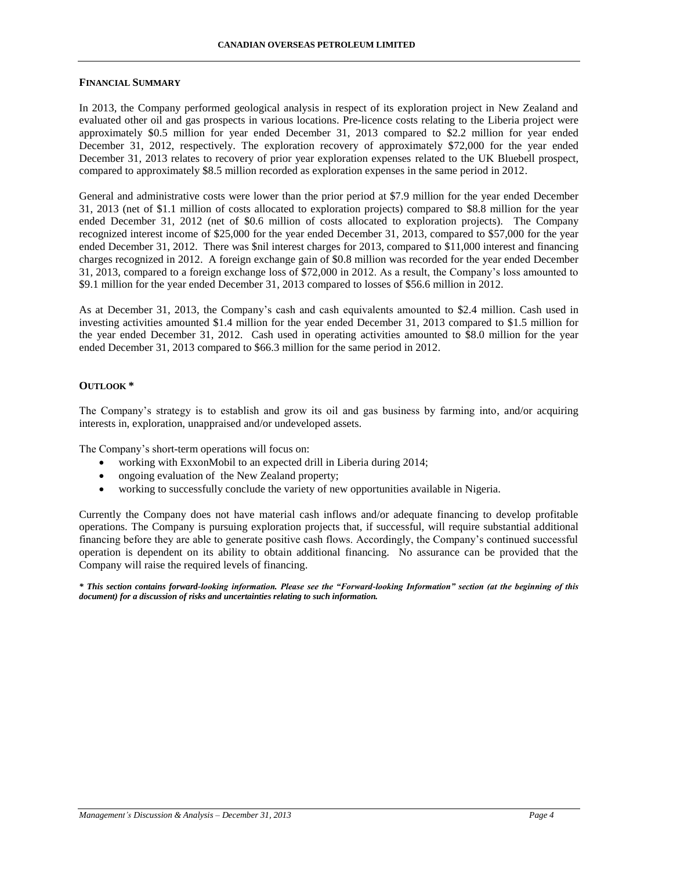#### **FINANCIAL SUMMARY**

In 2013, the Company performed geological analysis in respect of its exploration project in New Zealand and evaluated other oil and gas prospects in various locations. Pre-licence costs relating to the Liberia project were approximately \$0.5 million for year ended December 31, 2013 compared to \$2.2 million for year ended December 31, 2012, respectively. The exploration recovery of approximately \$72,000 for the year ended December 31, 2013 relates to recovery of prior year exploration expenses related to the UK Bluebell prospect, compared to approximately \$8.5 million recorded as exploration expenses in the same period in 2012.

General and administrative costs were lower than the prior period at \$7.9 million for the year ended December 31, 2013 (net of \$1.1 million of costs allocated to exploration projects) compared to \$8.8 million for the year ended December 31, 2012 (net of \$0.6 million of costs allocated to exploration projects). The Company recognized interest income of \$25,000 for the year ended December 31, 2013, compared to \$57,000 for the year ended December 31, 2012. There was \$nil interest charges for 2013, compared to \$11,000 interest and financing charges recognized in 2012. A foreign exchange gain of \$0.8 million was recorded for the year ended December 31, 2013, compared to a foreign exchange loss of \$72,000 in 2012. As a result, the Company's loss amounted to \$9.1 million for the year ended December 31, 2013 compared to losses of \$56.6 million in 2012.

As at December 31, 2013, the Company's cash and cash equivalents amounted to \$2.4 million. Cash used in investing activities amounted \$1.4 million for the year ended December 31, 2013 compared to \$1.5 million for the year ended December 31, 2012. Cash used in operating activities amounted to \$8.0 million for the year ended December 31, 2013 compared to \$66.3 million for the same period in 2012.

### **OUTLOOK \***

The Company's strategy is to establish and grow its oil and gas business by farming into, and/or acquiring interests in, exploration, unappraised and/or undeveloped assets.

The Company's short-term operations will focus on:

- working with ExxonMobil to an expected drill in Liberia during 2014;
- ongoing evaluation of the New Zealand property;
- working to successfully conclude the variety of new opportunities available in Nigeria.

Currently the Company does not have material cash inflows and/or adequate financing to develop profitable operations. The Company is pursuing exploration projects that, if successful, will require substantial additional financing before they are able to generate positive cash flows. Accordingly, the Company's continued successful operation is dependent on its ability to obtain additional financing. No assurance can be provided that the Company will raise the required levels of financing.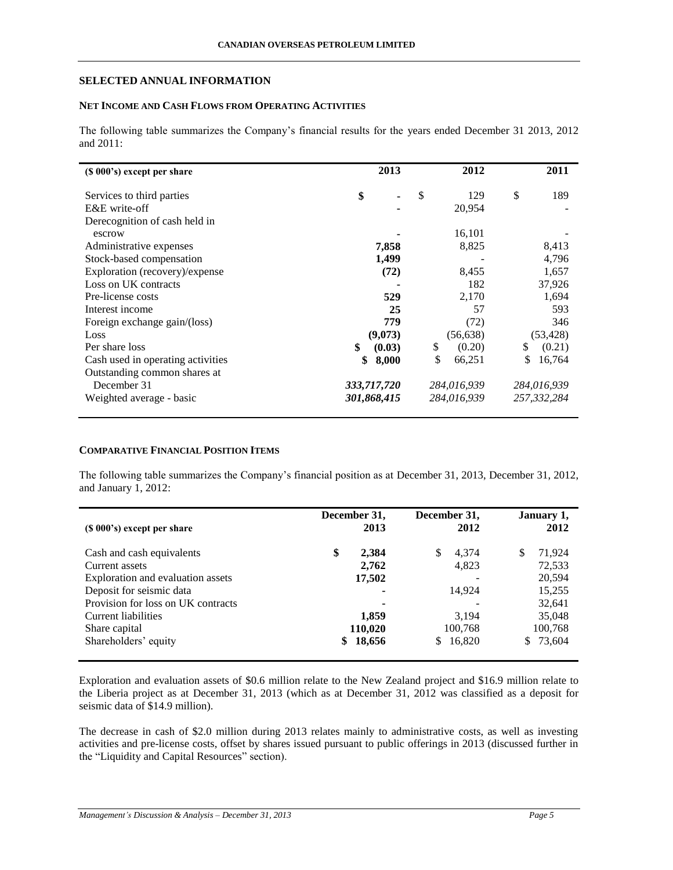## **SELECTED ANNUAL INFORMATION**

# **NET INCOME AND CASH FLOWS FROM OPERATING ACTIVITIES**

The following table summarizes the Company's financial results for the years ended December 31 2013, 2012 and 2011:

| (\$ 000's) except per share       | 2013         | 2012         |    | 2011        |
|-----------------------------------|--------------|--------------|----|-------------|
| Services to third parties         | \$           | \$<br>129    | \$ | 189         |
| E&E write-off                     |              | 20,954       |    |             |
| Derecognition of cash held in     |              |              |    |             |
| escrow                            |              | 16,101       |    |             |
| Administrative expenses           | 7,858        | 8,825        |    | 8,413       |
| Stock-based compensation          | 1,499        |              |    | 4,796       |
| Exploration (recovery)/expense    | (72)         | 8,455        |    | 1,657       |
| Loss on UK contracts              |              | 182          |    | 37,926      |
| Pre-license costs                 | 529          | 2,170        |    | 1,694       |
| Interest income                   | 25           | 57           |    | 593         |
| Foreign exchange gain/(loss)      | 779          | (72)         |    | 346         |
| Loss                              | (9,073)      | (56, 638)    |    | (53, 428)   |
| Per share loss                    | \$<br>(0.03) | \$<br>(0.20) | S  | (0.21)      |
| Cash used in operating activities | \$<br>8,000  | \$<br>66,251 | S  | 16,764      |
| Outstanding common shares at      |              |              |    |             |
| December 31                       | 333,717,720  | 284,016,939  |    | 284,016,939 |
| Weighted average - basic          | 301,868,415  | 284,016,939  |    | 257,332,284 |

### **COMPARATIVE FINANCIAL POSITION ITEMS**

The following table summarizes the Company's financial position as at December 31, 2013, December 31, 2012, and January 1, 2012:

| (\$ 000's) except per share        | December 31,<br>2013 |     | December 31,<br>2012 |    | January 1,<br>2012 |
|------------------------------------|----------------------|-----|----------------------|----|--------------------|
| Cash and cash equivalents          | \$<br>2,384          | \$. | 4,374                | S  | 71,924             |
| Current assets                     | 2,762                |     | 4,823                |    | 72,533             |
| Exploration and evaluation assets  | 17,502               |     |                      |    | 20.594             |
| Deposit for seismic data           |                      |     | 14.924               |    | 15,255             |
| Provision for loss on UK contracts | ٠                    |     |                      |    | 32,641             |
| Current liabilities                | 1,859                |     | 3,194                |    | 35,048             |
| Share capital                      | 110,020              |     | 100,768              |    | 100,768            |
| Shareholders' equity               | \$<br>18,656         |     | \$16,820             | S. | 73,604             |

Exploration and evaluation assets of \$0.6 million relate to the New Zealand project and \$16.9 million relate to the Liberia project as at December 31, 2013 (which as at December 31, 2012 was classified as a deposit for seismic data of \$14.9 million).

The decrease in cash of \$2.0 million during 2013 relates mainly to administrative costs, as well as investing activities and pre-license costs, offset by shares issued pursuant to public offerings in 2013 (discussed further in the "Liquidity and Capital Resources" section).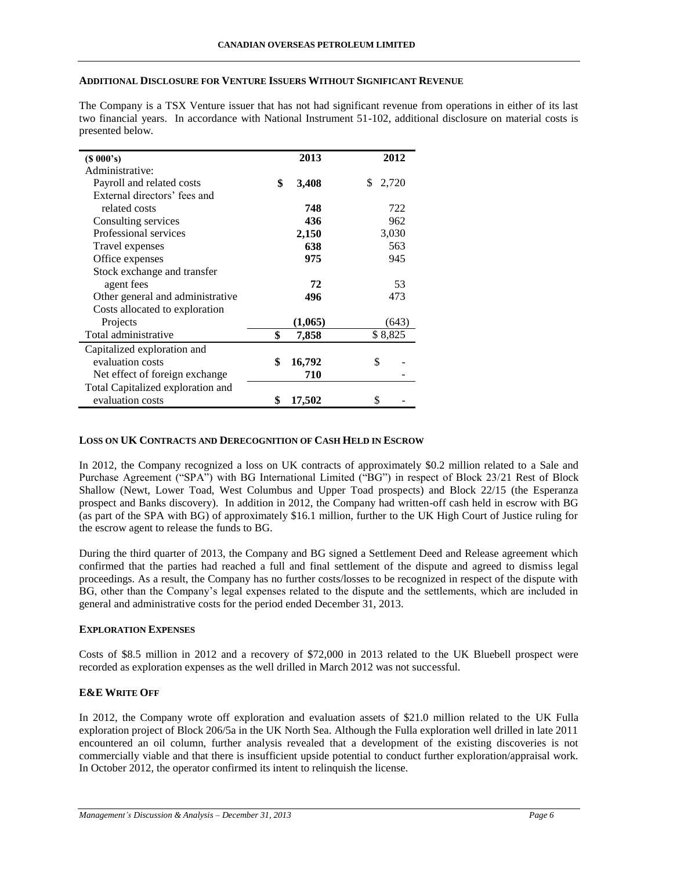### **ADDITIONAL DISCLOSURE FOR VENTURE ISSUERS WITHOUT SIGNIFICANT REVENUE**

The Company is a TSX Venture issuer that has not had significant revenue from operations in either of its last two financial years. In accordance with National Instrument 51-102, additional disclosure on material costs is presented below.

| (S 000's)                         | 2013         | 2012        |
|-----------------------------------|--------------|-------------|
| Administrative:                   |              |             |
| Payroll and related costs         | \$<br>3,408  | \$<br>2,720 |
| External directors' fees and      |              |             |
| related costs                     | 748          | 722         |
| Consulting services               | 436          | 962         |
| Professional services             | 2,150        | 3,030       |
| Travel expenses                   | 638          | 563         |
| Office expenses                   | 975          | 945         |
| Stock exchange and transfer       |              |             |
| agent fees                        | 72           | 53          |
| Other general and administrative  | 496          | 473         |
| Costs allocated to exploration    |              |             |
| Projects                          | (1,065)      | (643)       |
| Total administrative              | \$<br>7,858  | \$8,825     |
| Capitalized exploration and       |              |             |
| evaluation costs                  | \$<br>16,792 | \$          |
| Net effect of foreign exchange    | 710          |             |
| Total Capitalized exploration and |              |             |
| evaluation costs                  | \$<br>17,502 | \$          |

### **LOSS ON UK CONTRACTS AND DERECOGNITION OF CASH HELD IN ESCROW**

In 2012, the Company recognized a loss on UK contracts of approximately \$0.2 million related to a Sale and Purchase Agreement ("SPA") with BG International Limited ("BG") in respect of Block 23/21 Rest of Block Shallow (Newt, Lower Toad, West Columbus and Upper Toad prospects) and Block 22/15 (the Esperanza prospect and Banks discovery). In addition in 2012, the Company had written-off cash held in escrow with BG (as part of the SPA with BG) of approximately \$16.1 million, further to the UK High Court of Justice ruling for the escrow agent to release the funds to BG.

During the third quarter of 2013, the Company and BG signed a Settlement Deed and Release agreement which confirmed that the parties had reached a full and final settlement of the dispute and agreed to dismiss legal proceedings. As a result, the Company has no further costs/losses to be recognized in respect of the dispute with BG, other than the Company's legal expenses related to the dispute and the settlements, which are included in general and administrative costs for the period ended December 31, 2013.

### **EXPLORATION EXPENSES**

Costs of \$8.5 million in 2012 and a recovery of \$72,000 in 2013 related to the UK Bluebell prospect were recorded as exploration expenses as the well drilled in March 2012 was not successful.

### **E&E WRITE OFF**

In 2012, the Company wrote off exploration and evaluation assets of \$21.0 million related to the UK Fulla exploration project of Block 206/5a in the UK North Sea. Although the Fulla exploration well drilled in late 2011 encountered an oil column, further analysis revealed that a development of the existing discoveries is not commercially viable and that there is insufficient upside potential to conduct further exploration/appraisal work. In October 2012, the operator confirmed its intent to relinquish the license.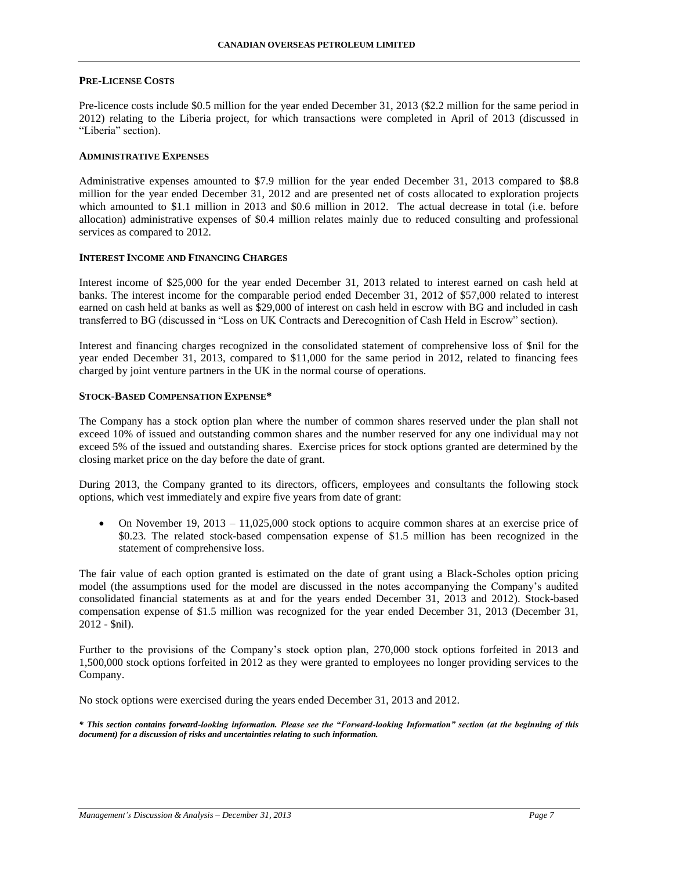#### **PRE-LICENSE COSTS**

Pre-licence costs include \$0.5 million for the year ended December 31, 2013 (\$2.2 million for the same period in 2012) relating to the Liberia project, for which transactions were completed in April of 2013 (discussed in "Liberia" section).

#### **ADMINISTRATIVE EXPENSES**

Administrative expenses amounted to \$7.9 million for the year ended December 31, 2013 compared to \$8.8 million for the year ended December 31, 2012 and are presented net of costs allocated to exploration projects which amounted to \$1.1 million in 2013 and \$0.6 million in 2012. The actual decrease in total (i.e. before allocation) administrative expenses of \$0.4 million relates mainly due to reduced consulting and professional services as compared to 2012.

### **INTEREST INCOME AND FINANCING CHARGES**

Interest income of \$25,000 for the year ended December 31, 2013 related to interest earned on cash held at banks. The interest income for the comparable period ended December 31, 2012 of \$57,000 related to interest earned on cash held at banks as well as \$29,000 of interest on cash held in escrow with BG and included in cash transferred to BG (discussed in "Loss on UK Contracts and Derecognition of Cash Held in Escrow" section).

Interest and financing charges recognized in the consolidated statement of comprehensive loss of \$nil for the year ended December 31, 2013, compared to \$11,000 for the same period in 2012, related to financing fees charged by joint venture partners in the UK in the normal course of operations.

### **STOCK-BASED COMPENSATION EXPENSE\***

The Company has a stock option plan where the number of common shares reserved under the plan shall not exceed 10% of issued and outstanding common shares and the number reserved for any one individual may not exceed 5% of the issued and outstanding shares. Exercise prices for stock options granted are determined by the closing market price on the day before the date of grant.

During 2013, the Company granted to its directors, officers, employees and consultants the following stock options, which vest immediately and expire five years from date of grant:

 On November 19, 2013 – 11,025,000 stock options to acquire common shares at an exercise price of \$0.23. The related stock-based compensation expense of \$1.5 million has been recognized in the statement of comprehensive loss.

The fair value of each option granted is estimated on the date of grant using a Black-Scholes option pricing model (the assumptions used for the model are discussed in the notes accompanying the Company's audited consolidated financial statements as at and for the years ended December 31, 2013 and 2012). Stock-based compensation expense of \$1.5 million was recognized for the year ended December 31, 2013 (December 31, 2012 - \$nil).

Further to the provisions of the Company's stock option plan, 270,000 stock options forfeited in 2013 and 1,500,000 stock options forfeited in 2012 as they were granted to employees no longer providing services to the Company.

No stock options were exercised during the years ended December 31, 2013 and 2012.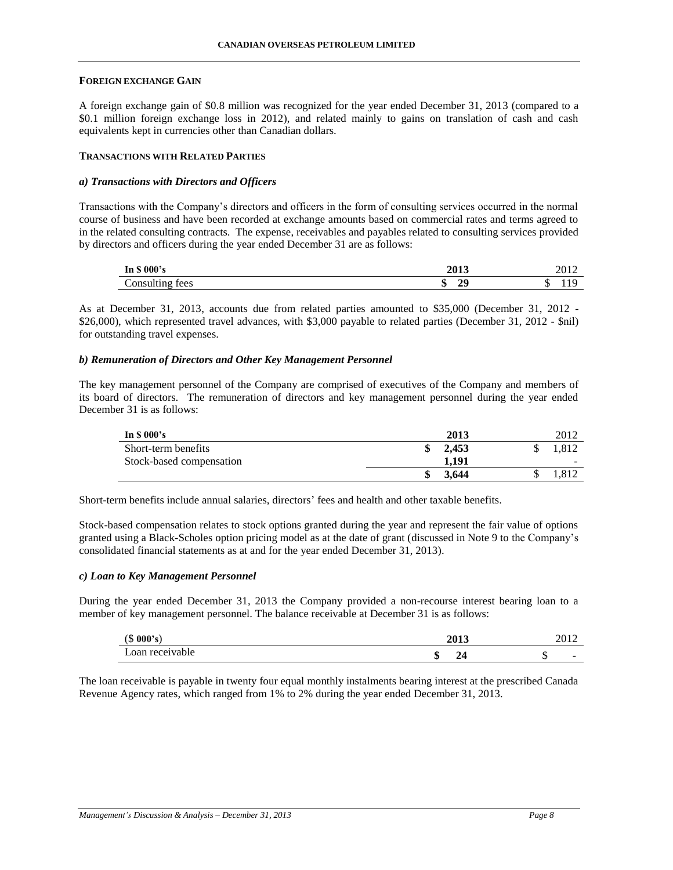### **FOREIGN EXCHANGE GAIN**

A foreign exchange gain of \$0.8 million was recognized for the year ended December 31, 2013 (compared to a \$0.1 million foreign exchange loss in 2012), and related mainly to gains on translation of cash and cash equivalents kept in currencies other than Canadian dollars.

### **TRANSACTIONS WITH RELATED PARTIES**

### *a) Transactions with Directors and Officers*

Transactions with the Company's directors and officers in the form of consulting services occurred in the normal course of business and have been recorded at exchange amounts based on commercial rates and terms agreed to in the related consulting contracts. The expense, receivables and payables related to consulting services provided by directors and officers during the year ended December 31 are as follows:

| In \$ 000's          | <b>2013</b>    | 2012. |
|----------------------|----------------|-------|
| Consulting fees<br>c | 20<br>۰D<br>,, | .     |

As at December 31, 2013, accounts due from related parties amounted to \$35,000 (December 31, 2012 - \$26,000), which represented travel advances, with \$3,000 payable to related parties (December 31, 2012 - \$nil) for outstanding travel expenses.

### *b) Remuneration of Directors and Other Key Management Personnel*

The key management personnel of the Company are comprised of executives of the Company and members of its board of directors. The remuneration of directors and key management personnel during the year ended December 31 is as follows:

| In $$000's$              | 2013  | 2012  |
|--------------------------|-------|-------|
| Short-term benefits      | 2.453 | .312  |
| Stock-based compensation | 1.191 | -     |
|                          | 3.644 | 1.812 |

Short-term benefits include annual salaries, directors' fees and health and other taxable benefits.

Stock-based compensation relates to stock options granted during the year and represent the fair value of options granted using a Black-Scholes option pricing model as at the date of grant (discussed in Note 9 to the Company's consolidated financial statements as at and for the year ended December 31, 2013).

#### *c) Loan to Key Management Personnel*

During the year ended December 31, 2013 the Company provided a non-recourse interest bearing loan to a member of key management personnel. The balance receivable at December 31 is as follows:

| (000's)<br>$\sqrt{2}$<br>◡ | <b>2013</b>  | $\sim$ $\sim$ $\sim$<br>40 I 4 |
|----------------------------|--------------|--------------------------------|
| Loan receivable            | M<br>24<br>ш | -                              |

The loan receivable is payable in twenty four equal monthly instalments bearing interest at the prescribed Canada Revenue Agency rates, which ranged from 1% to 2% during the year ended December 31, 2013.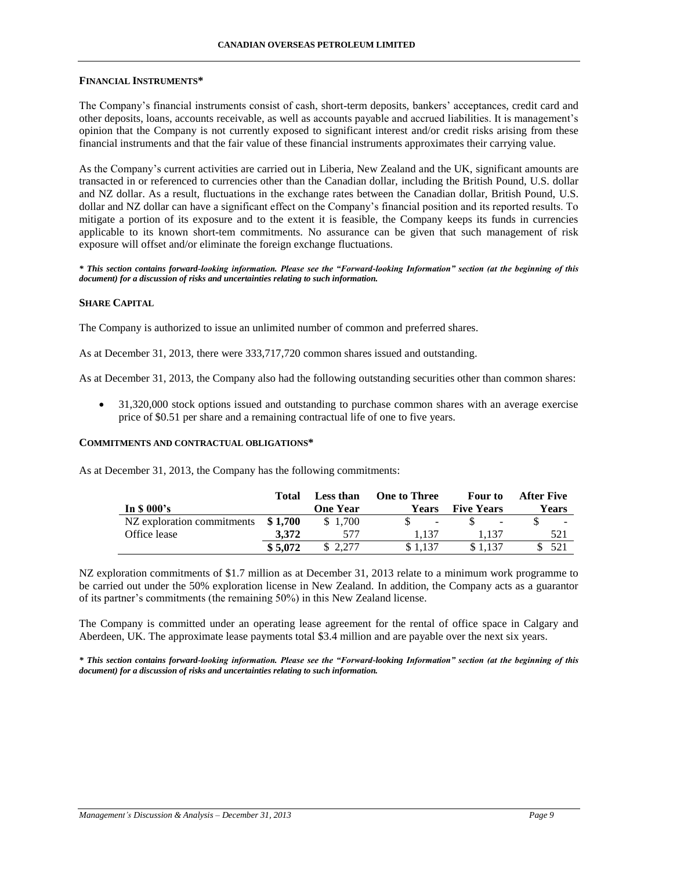### **FINANCIAL INSTRUMENTS\***

The Company's financial instruments consist of cash, short-term deposits, bankers' acceptances, credit card and other deposits, loans, accounts receivable, as well as accounts payable and accrued liabilities. It is management's opinion that the Company is not currently exposed to significant interest and/or credit risks arising from these financial instruments and that the fair value of these financial instruments approximates their carrying value.

As the Company's current activities are carried out in Liberia, New Zealand and the UK, significant amounts are transacted in or referenced to currencies other than the Canadian dollar, including the British Pound, U.S. dollar and NZ dollar. As a result, fluctuations in the exchange rates between the Canadian dollar, British Pound, U.S. dollar and NZ dollar can have a significant effect on the Company's financial position and its reported results. To mitigate a portion of its exposure and to the extent it is feasible, the Company keeps its funds in currencies applicable to its known short-tem commitments. No assurance can be given that such management of risk exposure will offset and/or eliminate the foreign exchange fluctuations.

*\* This section contains forward-looking information. Please see the "Forward-looking Information" section (at the beginning of this document) for a discussion of risks and uncertainties relating to such information.*

### **SHARE CAPITAL**

The Company is authorized to issue an unlimited number of common and preferred shares.

As at December 31, 2013, there were 333,717,720 common shares issued and outstanding.

As at December 31, 2013, the Company also had the following outstanding securities other than common shares:

• 31,320,000 stock options issued and outstanding to purchase common shares with an average exercise price of \$0.51 per share and a remaining contractual life of one to five years.

#### **COMMITMENTS AND CONTRACTUAL OBLIGATIONS\***

As at December 31, 2013, the Company has the following commitments:

|                            | Total   | Less than       | <b>One to Three</b> | <b>Four to</b>    | After Five |
|----------------------------|---------|-----------------|---------------------|-------------------|------------|
| In $$000's$                |         | <b>One Year</b> | Years               | <b>Five Years</b> | Years      |
| NZ exploration commitments | \$1.700 | \$1.700         | $\overline{a}$      | $\qquad \qquad$   |            |
| Office lease               | 3.372   | 577             | l.137               | 1.137             | 521        |
|                            | \$5,072 |                 | \$1.137             | \$1.137           | 521        |

NZ exploration commitments of \$1.7 million as at December 31, 2013 relate to a minimum work programme to be carried out under the 50% exploration license in New Zealand. In addition, the Company acts as a guarantor of its partner's commitments (the remaining 50%) in this New Zealand license.

The Company is committed under an operating lease agreement for the rental of office space in Calgary and Aberdeen, UK. The approximate lease payments total \$3.4 million and are payable over the next six years.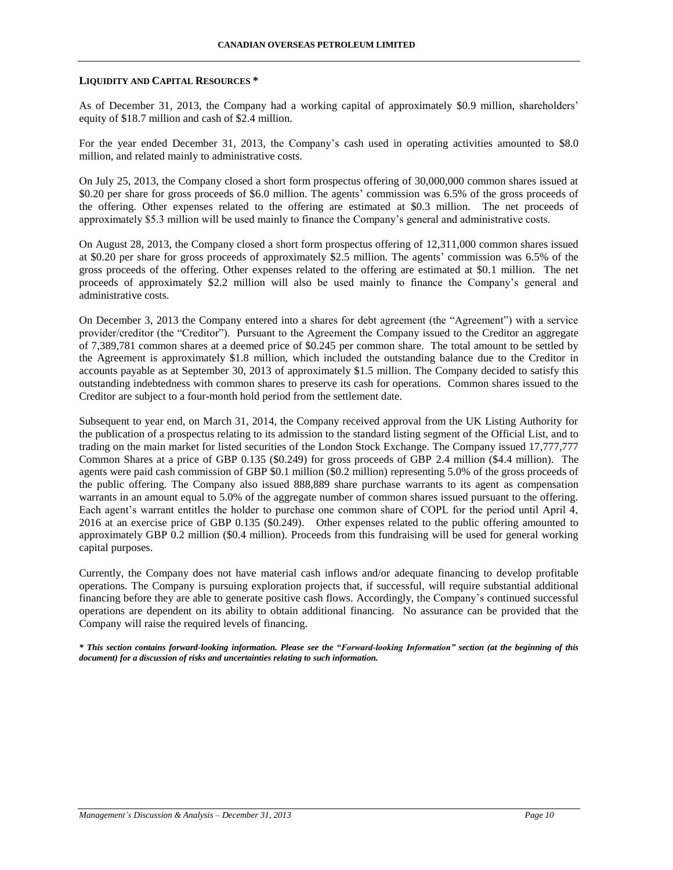#### **LIQUIDITY AND CAPITAL RESOURCES \***

As of December 31, 2013, the Company had a working capital of approximately \$0.9 million, shareholders' equity of \$18.7 million and cash of \$2.4 million.

For the year ended December 31, 2013, the Company's cash used in operating activities amounted to \$8.0 million, and related mainly to administrative costs.

On July 25, 2013, the Company closed a short form prospectus offering of 30,000,000 common shares issued at \$0.20 per share for gross proceeds of \$6.0 million. The agents' commission was 6.5% of the gross proceeds of the offering. Other expenses related to the offering are estimated at \$0.3 million. The net proceeds of approximately \$5.3 million will be used mainly to finance the Company's general and administrative costs.

On August 28, 2013, the Company closed a short form prospectus offering of 12,311,000 common shares issued at \$0.20 per share for gross proceeds of approximately \$2.5 million. The agents' commission was 6.5% of the gross proceeds of the offering. Other expenses related to the offering are estimated at \$0.1 million. The net proceeds of approximately \$2.2 million will also be used mainly to finance the Company's general and administrative costs.

On December 3, 2013 the Company entered into a shares for debt agreement (the "Agreement") with a service provider/creditor (the "Creditor"). Pursuant to the Agreement the Company issued to the Creditor an aggregate of 7,389,781 common shares at a deemed price of \$0.245 per common share. The total amount to be settled by the Agreement is approximately \$1.8 million, which included the outstanding balance due to the Creditor in accounts payable as at September 30, 2013 of approximately \$1.5 million. The Company decided to satisfy this outstanding indebtedness with common shares to preserve its cash for operations. Common shares issued to the Creditor are subject to a four-month hold period from the settlement date.

Subsequent to year end, on March 31, 2014, the Company received approval from the UK Listing Authority for the publication of a prospectus relating to its admission to the standard listing segment of the Official List, and to trading on the main market for listed securities of the London Stock Exchange. The Company issued 17,777,777 Common Shares at a price of GBP 0.135 (\$0.249) for gross proceeds of GBP 2.4 million (\$4.4 million). The agents were paid cash commission of GBP \$0.1 million (\$0.2 million) representing 5.0% of the gross proceeds of the public offering. The Company also issued 888,889 share purchase warrants to its agent as compensation warrants in an amount equal to 5.0% of the aggregate number of common shares issued pursuant to the offering. Each agent's warrant entitles the holder to purchase one common share of COPL for the period until April 4, 2016 at an exercise price of GBP 0.135 (\$0.249). Other expenses related to the public offering amounted to approximately GBP 0.2 million (\$0.4 million). Proceeds from this fundraising will be used for general working capital purposes.

Currently, the Company does not have material cash inflows and/or adequate financing to develop profitable operations. The Company is pursuing exploration projects that, if successful, will require substantial additional financing before they are able to generate positive cash flows. Accordingly, the Company's continued successful operations are dependent on its ability to obtain additional financing. No assurance can be provided that the Company will raise the required levels of financing.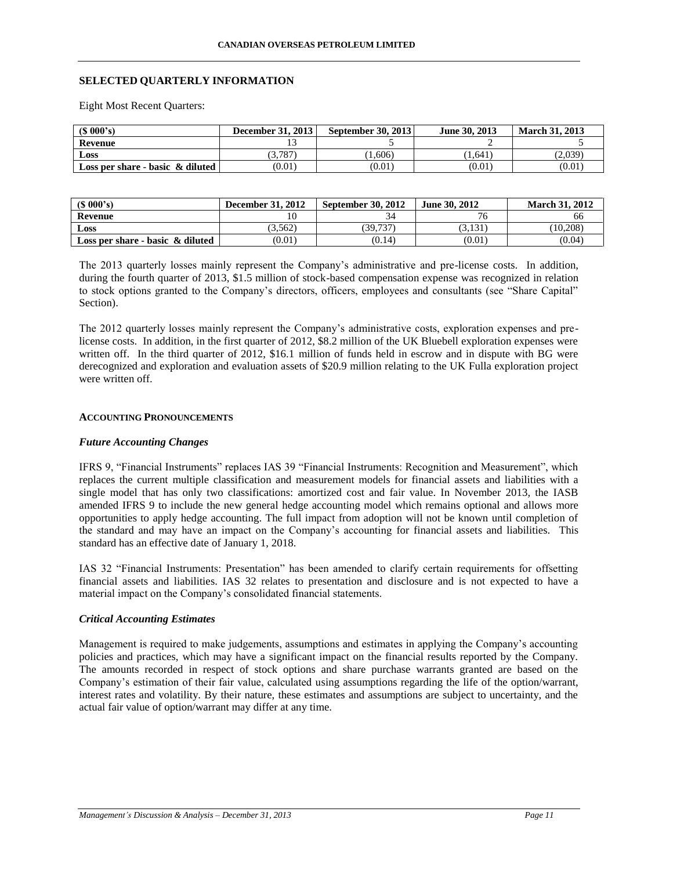# **SELECTED QUARTERLY INFORMATION**

Eight Most Recent Quarters:

| $(S\ 000's)$                        | <b>December 31, 2013</b> | <b>September 30, 2013</b> | June 30, 2013 | <b>March 31, 2013</b> |
|-------------------------------------|--------------------------|---------------------------|---------------|-----------------------|
| Revenue                             |                          |                           |               |                       |
| Loss                                | (3.787)                  | 1,606                     | 1.641         | (2,039)               |
| Loss per share - basic $\&$ diluted | (0.01)                   | (0.01)                    | (0.01)        | (0.01)                |

| (S 000's)                           | <b>December 31, 2012</b> | <b>September 30, 2012</b> | June 30, 2012 | <b>March 31, 2012</b> |
|-------------------------------------|--------------------------|---------------------------|---------------|-----------------------|
| Revenue                             |                          |                           |               | 00                    |
| Loss                                | 3.562                    | 39.737                    | 3.131         | (10.208)              |
| Loss per share - basic $\&$ diluted | (0.01)                   | (0.14)                    | (0.01)        | (0.04)                |

The 2013 quarterly losses mainly represent the Company's administrative and pre-license costs. In addition, during the fourth quarter of 2013, \$1.5 million of stock-based compensation expense was recognized in relation to stock options granted to the Company's directors, officers, employees and consultants (see "Share Capital" Section).

The 2012 quarterly losses mainly represent the Company's administrative costs, exploration expenses and prelicense costs. In addition, in the first quarter of 2012, \$8.2 million of the UK Bluebell exploration expenses were written off. In the third quarter of 2012, \$16.1 million of funds held in escrow and in dispute with BG were derecognized and exploration and evaluation assets of \$20.9 million relating to the UK Fulla exploration project were written off.

### **ACCOUNTING PRONOUNCEMENTS**

### *Future Accounting Changes*

IFRS 9, "Financial Instruments" replaces IAS 39 "Financial Instruments: Recognition and Measurement", which replaces the current multiple classification and measurement models for financial assets and liabilities with a single model that has only two classifications: amortized cost and fair value. In November 2013, the IASB amended IFRS 9 to include the new general hedge accounting model which remains optional and allows more opportunities to apply hedge accounting. The full impact from adoption will not be known until completion of the standard and may have an impact on the Company's accounting for financial assets and liabilities. This standard has an effective date of January 1, 2018.

IAS 32 "Financial Instruments: Presentation" has been amended to clarify certain requirements for offsetting financial assets and liabilities. IAS 32 relates to presentation and disclosure and is not expected to have a material impact on the Company's consolidated financial statements.

### *Critical Accounting Estimates*

Management is required to make judgements, assumptions and estimates in applying the Company's accounting policies and practices, which may have a significant impact on the financial results reported by the Company. The amounts recorded in respect of stock options and share purchase warrants granted are based on the Company's estimation of their fair value, calculated using assumptions regarding the life of the option/warrant, interest rates and volatility. By their nature, these estimates and assumptions are subject to uncertainty, and the actual fair value of option/warrant may differ at any time.